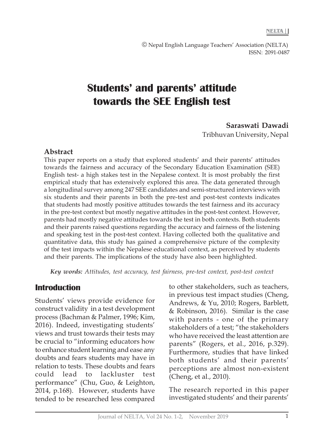© Nepal English Language Teachers' Association (NELTA) ISSN: 2091-0487

# **Students' and parents' attitude towards the SEE English test**

#### **Saraswati Dawadi**

Tribhuvan University, Nepal

#### **Abstract**

This paper reports on a study that explored students' and their parents' attitudes towards the fairness and accuracy of the Secondary Education Examination (SEE) English test- a high stakes test in the Nepalese context. It is most probably the first empirical study that has extensively explored this area. The data generated through a longitudinal survey among 247 SEE candidates and semi-structured interviews with six students and their parents in both the pre-test and post-test contexts indicates that students had mostly positive attitudes towards the test fairness and its accuracy in the pre-test context but mostly negative attitudes in the post-test context. However, parents had mostly negative attitudes towards the test in both contexts. Both students and their parents raised questions regarding the accuracy and fairness of the listening and speaking test in the post-test context. Having collected both the qualitative and quantitative data, this study has gained a comprehensive picture of the complexity of the test impacts within the Nepalese educational context, as perceived by students and their parents. The implications of the study have also been highlighted.

*Key words: Attitudes, test accuracy, test fairness, pre-test context, post-test context*

### **Introduction**

Students' views provide evidence for construct validity in a test development process (Bachman & Palmer, 1996; Kim, 2016). Indeed, investigating students' views and trust towards their tests may be crucial to "informing educators how to enhance student learning and ease any doubts and fears students may have in relation to tests. These doubts and fears could lead to lackluster test performance" (Chu, Guo, & Leighton, 2014, p.168). However, students have tended to be researched less compared to other stakeholders, such as teachers, in previous test impact studies (Cheng, Andrews, & Yu, 2010; Rogers, Barblett, & Robinson, 2016). Similar is the case with parents - one of the primary stakeholders of a test; "the stakeholders who have received the least attention are parents" (Rogers, et al., 2016, p.329). Furthermore, studies that have linked both students' and their parents' perceptions are almost non-existent (Cheng, et al., 2010).

The research reported in this paper investigated students' and their parents'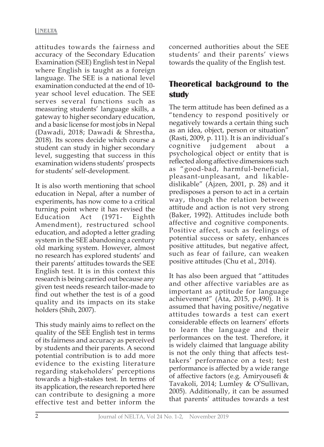attitudes towards the fairness and accuracy of the Secondary Education Examination (SEE) English test in Nepal where English is taught as a foreign language. The SEE is a national level examination conducted at the end of 10 year school level education. The SEE serves several functions such as measuring students' language skills, a gateway to higher secondary education, and a basic license for most jobs in Nepal (Dawadi, 2018; Dawadi & Shrestha, 2018). Its scores decide which course a student can study in higher secondary level, suggesting that success in this examination widens students' prospects for students' self-development.

It is also worth mentioning that school education in Nepal, after a number of experiments, has now come to a critical turning point where it has revised the Education Act (1971- Eighth Amendment), restructured school education, and adopted a letter grading system in the SEE abandoning a century old marking system. However, almost no research has explored students' and their parents' attitudes towards the SEE English test. It is in this context this research is being carried out because any given test needs research tailor-made to find out whether the test is of a good quality and its impacts on its stake holders (Shih, 2007).

This study mainly aims to reflect on the quality of the SEE English test in terms of its fairness and accuracy as perceived by students and their parents. A second potential contribution is to add more evidence to the existing literature regarding stakeholders' perceptions towards a high-stakes test. In terms of its application, the research reported here can contribute to designing a more effective test and better inform the

concerned authorities about the SEE students' and their parents' views towards the quality of the English test.

# **Theoretical background to the study**

The term attitude has been defined as a "tendency to respond positively or negatively towards a certain thing such as an idea, object, person or situation" (Rasti, 2009, p. 111). It is an individual's cognitive judgement about a psychological object or entity that is reflected along affective dimensions such as "good-bad, harmful-beneficial, pleasant-unpleasant, and likabledislikable" (Ajzen, 2001, p. 28) and it predisposes a person to act in a certain way, though the relation between attitude and action is not very strong (Baker, 1992). Attitudes include both affective and cognitive components. Positive affect, such as feelings of potential success or safety, enhances positive attitudes, but negative affect, such as fear of failure, can weaken positive attitudes (Chu et al., 2014).

It has also been argued that "attitudes and other affective variables are as important as aptitude for language achievement" (Ata, 2015, p.490). It is assumed that having positive/negative attitudes towards a test can exert considerable effects on learners' efforts to learn the language and their performances on the test. Therefore, it is widely claimed that language ability is not the only thing that affects testtakers' performance on a test; test performance is affected by a wide range of affective factors (e.g. Amiryousefi & Tavakoli, 2014; Lumley & O'Sullivan, 2005). Additionally, it can be assumed that parents' attitudes towards a test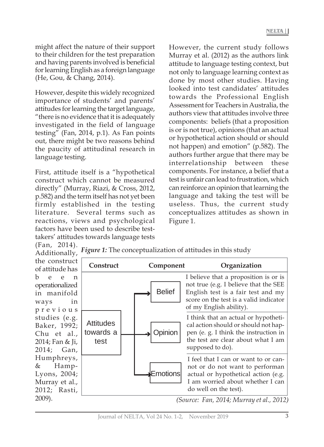might affect the nature of their support to their children for the test preparation and having parents involved is beneficial for learning English as a foreign language (He, Gou, & Chang, 2014).

However, despite this widely recognized importance of students' and parents' attitudes for learning the target language, "there is no evidence that it is adequately investigated in the field of language testing" (Fan, 2014, p.1). As Fan points out, there might be two reasons behind the paucity of attitudinal research in language testing.

First, attitude itself is a "hypothetical construct which cannot be measured directly" (Murray, Riazi, & Cross, 2012, p.582) and the term itself has not yet been firmly established in the testing literature. Several terms such as reactions, views and psychological factors have been used to describe testtakers' attitudes towards language tests

However, the current study follows Murray et al. (2012) as the authors link attitude to language testing context, but not only to language learning context as done by most other studies. Having looked into test candidates' attitudes towards the Professional English Assessment for Teachers in Australia, the authors view that attitudes involve three components: beliefs (that a proposition is or is not true), opinions (that an actual or hypothetical action should or should not happen) and emotion" (p.582). The authors further argue that there may be interrelationship between these components. For instance, a belief that a test is unfair can lead to frustration, which can reinforce an opinion that learning the language and taking the test will be useless. Thus, the current study conceptualizes attitudes as shown in Figure 1.

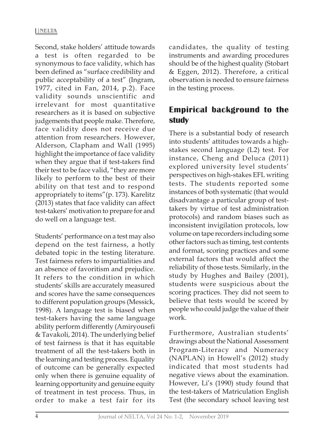Second, stake holders' attitude towards a test is often regarded to be synonymous to face validity, which has been defined as "surface credibility and public acceptability of a test" (Ingram, 1977, cited in Fan, 2014, p.2). Face validity sounds unscientific and irrelevant for most quantitative researchers as it is based on subjective judgements that people make. Therefore, face validity does not receive due attention from researchers. However, Alderson, Clapham and Wall (1995) highlight the importance of face validity when they argue that if test-takers find their test to be face valid, "they are more likely to perform to the best of their ability on that test and to respond appropriately to items"(p. 173). Karelitz (2013) states that face validity can affect test-takers' motivation to prepare for and do well on a language test.

Students' performance on a test may also depend on the test fairness, a hotly debated topic in the testing literature. Test fairness refers to impartialities and an absence of favoritism and prejudice. It refers to the condition in which students' skills are accurately measured and scores have the same consequences to different population groups (Messick, 1998). A language test is biased when test-takers having the same language ability perform differently (Amiryousefi & Tavakoli, 2014). The underlying belief of test fairness is that it has equitable treatment of all the test-takers both in the learning and testing process. Equality of outcome can be generally expected only when there is genuine equality of learning opportunity and genuine equity of treatment in test process. Thus, in order to make a test fair for its

candidates, the quality of testing instruments and awarding procedures should be of the highest quality (Stobart & Eggen, 2012). Therefore, a critical observation is needed to ensure fairness in the testing process.

# **Empirical background to the study**

There is a substantial body of research into students' attitudes towards a highstakes second language (L2) test. For instance, Cheng and Deluca (2011) explored university level students' perspectives on high-stakes EFL writing tests. The students reported some instances of both systematic (that would disadvantage a particular group of testtakers by virtue of test administration protocols) and random biases such as inconsistent invigilation protocols, low volume on tape recorders including some other factors such as timing, test contents and format, scoring practices and some external factors that would affect the reliability of those tests. Similarly, in the study by Hughes and Bailey (2001), students were suspicious about the scoring practices. They did not seem to believe that tests would be scored by people who could judge the value of their work.

Furthermore, Australian students' drawings about the National Assessment Program-Literacy and Numeracy (NAPLAN) in Howell's (2012) study indicated that most students had negative views about the examination. However, Li's (1990) study found that the test-takers of Matriculation English Test (the secondary school leaving test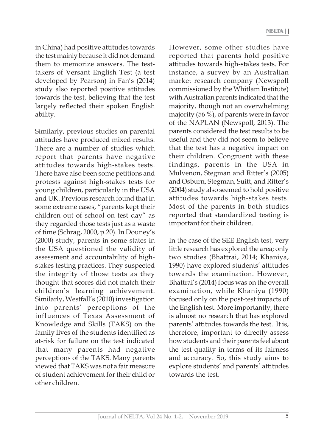in China) had positive attitudes towards the test mainly because it did not demand them to memorize answers. The testtakers of Versant English Test (a test developed by Pearson) in Fan's (2014) study also reported positive attitudes towards the test, believing that the test largely reflected their spoken English ability.

Similarly, previous studies on parental attitudes have produced mixed results. There are a number of studies which report that parents have negative attitudes towards high-stakes tests. There have also been some petitions and protests against high-stakes tests for young children, particularly in the USA and UK. Previous research found that in some extreme cases, "parents kept their children out of school on test day" as they regarded those tests just as a waste of time (Schrag, 2000, p.20). In Douney's (2000) study, parents in some states in the USA questioned the validity of assessment and accountability of highstakes testing practices. They suspected the integrity of those tests as they thought that scores did not match their children's learning achievement. Similarly, Westfall's (2010) investigation into parents' perceptions of the influences of Texas Assessment of Knowledge and Skills (TAKS) on the family lives of the students identified as at-risk for failure on the test indicated that many parents had negative perceptions of the TAKS. Many parents viewed that TAKS was not a fair measure of student achievement for their child or other children.

However, some other studies have reported that parents hold positive attitudes towards high-stakes tests. For instance, a survey by an Australian market research company (Newspoll commissioned by the Whitlam Institute) with Australian parents indicated that the majority, though not an overwhelming majority (56 %), of parents were in favor of the NAPLAN (Newspoll, 2013). The parents considered the test results to be useful and they did not seem to believe that the test has a negative impact on their children. Congruent with these findings, parents in the USA in Mulvenon, Stegman and Ritter's (2005) and Osburn, Stegman, Suitt, and Ritter's (2004) study also seemed to hold positive attitudes towards high-stakes tests. Most of the parents in both studies reported that standardized testing is important for their children.

In the case of the SEE English test, very little research has explored the area; only two studies (Bhattrai, 2014; Khaniya, 1990) have explored students' attitudes towards the examination. However, Bhattrai's (2014) focus was on the overall examination, while Khaniya (1990) focused only on the post-test impacts of the English test. More importantly, there is almost no research that has explored parents' attitudes towards the test. It is, therefore, important to directly assess how students and their parents feel about the test quality in terms of its fairness and accuracy. So, this study aims to explore students' and parents' attitudes towards the test.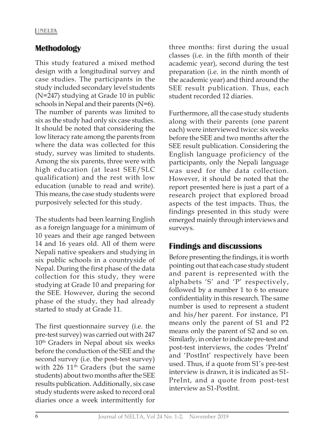### **Methodology**

This study featured a mixed method design with a longitudinal survey and case studies. The participants in the study included secondary level students (N=247) studying at Grade 10 in public schools in Nepal and their parents (N=6). The number of parents was limited to six as the study had only six case studies. It should be noted that considering the low literacy rate among the parents from where the data was collected for this study, survey was limited to students. Among the six parents, three were with high education (at least SEE/SLC qualification) and the rest with low education (unable to read and write). This means, the case study students were purposively selected for this study.

The students had been learning English as a foreign language for a minimum of 10 years and their age ranged between 14 and 16 years old. All of them were Nepali native speakers and studying in six public schools in a countryside of Nepal. During the first phase of the data collection for this study, they were studying at Grade 10 and preparing for the SEE. However, during the second phase of the study, they had already started to study at Grade 11.

The first questionnaire survey (i.e. the pre-test survey) was carried out with 247 10<sup>th</sup> Graders in Nepal about six weeks before the conduction of the SEE and the second survey (i.e. the post-test survey) with  $226$   $11<sup>th</sup>$  Graders (but the same students) about two months after the SEE results publication. Additionally, six case study students were asked to record oral diaries once a week intermittently for

three months: first during the usual classes (i.e. in the fifth month of their academic year), second during the test preparation (i.e. in the ninth month of the academic year) and third around the SEE result publication. Thus, each student recorded 12 diaries.

Furthermore, all the case study students along with their parents (one parent each) were interviewed twice: six weeks before the SEE and two months after the SEE result publication. Considering the English language proficiency of the participants, only the Nepali language was used for the data collection. However, it should be noted that the report presented here is just a part of a research project that explored broad aspects of the test impacts. Thus, the findings presented in this study were emerged mainly through interviews and surveys.

# **Findings and discussions**

Before presenting the findings, it is worth pointing out that each case study student and parent is represented with the alphabets 'S' and 'P' respectively, followed by a number 1 to 6 to ensure confidentiality in this research. The same number is used to represent a student and his/her parent. For instance, P1 means only the parent of S1 and P2 means only the parent of S2 and so on. Similarly, in order to indicate pre-test and post-test interviews, the codes 'PreInt' and 'PostInt' respectively have been used. Thus, if a quote from S1's pre-test interview is drawn, it is indicated as S1- PreInt, and a quote from post-test interview as S1-PostInt.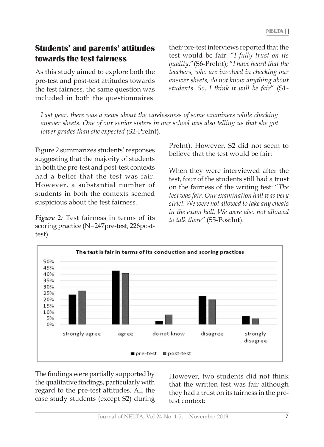# **Students' and parents' attitudes towards the test fairness**

As this study aimed to explore both the pre-test and post-test attitudes towards the test fairness, the same question was included in both the questionnaires.

*Last year, there was a news about the carelessness of some examiners while checking answer sheets. One of our senior sisters in our school was also telling us that she got lower grades than she expected (*S2-PreInt).

Figure 2 summarizes students' responses suggesting that the majority of students in both the pre-test and post-test contexts had a belief that the test was fair. However, a substantial number of students in both the contexts seemed suspicious about the test fairness.

*Figure 2:* Test fairness in terms of its scoring practice (N=247pre-test, 226posttest)

their pre-test interviews reported that the test would be fair: "*I fully trust on its quality.*"(S6-PreInt); "*I have heard that the teachers, who are involved in checking our answer sheets, do not know anything about students. So, I think it will be fair*" (S1-

PreInt). However, S2 did not seem to believe that the test would be fair:

When they were interviewed after the test, four of the students still had a trust on the fairness of the writing test: "*The test was fair. Our examination hall was very strict. We were not allowed to take any cheats in the exam hall. We were also not allowed to talk there"* (S5-PostInt).



The findings were partially supported by the qualitative findings, particularly with regard to the pre-test attitudes. All the case study students (except S2) during

However, two students did not think that the written test was fair although they had a trust on its fairness in the pretest context: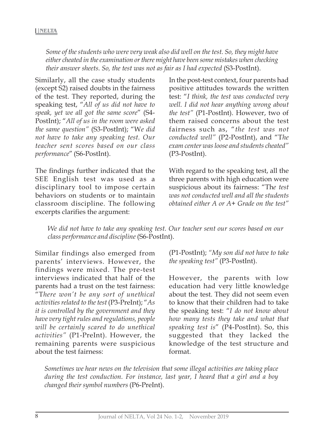*Some of the students who were very weak also did well on the test. So, they might have either cheated in the examination or there might have been some mistakes when checking their answer sheets. So, the test was not as fair as I had expected* (S3-PostInt).

Similarly, all the case study students (except S2) raised doubts in the fairness of the test. They reported, during the speaking test, "*All of us did not have to speak, yet we all got the same score*" (S4- PostInt); "*All of us in the room were asked the same question"* (S3-PostInt); "W*e did not have to take any speaking test. Our teacher sent scores based on our class performance*" (S6-PostInt).

The findings further indicated that the SEE English test was used as a disciplinary tool to impose certain behaviors on students or to maintain classroom discipline. The following excerpts clarifies the argument:

In the post-test context, four parents had positive attitudes towards the written test: "*I think, the test was conducted very well. I did not hear anything wrong about the test"* (P1-PostInt). However, two of them raised concerns about the test fairness such as, "*the test was not conducted well"* (P2-PostInt), and "T*he exam center was loose and students cheated"* (P3-PostInt).

With regard to the speaking test, all the three parents with high education were suspicious about its fairness: "Th*e test was not conducted well and all the students obtained either A or A+ Grade on the test"*

*We did not have to take any speaking test. Our teacher sent our scores based on our class performance and discipline* (S6-PostInt).

Similar findings also emerged from parents' interviews. However, the findings were mixed. The pre-test interviews indicated that half of the parents had a trust on the test fairness: "T*here won't be any sort of unethical activities related to the test* (P3-PreInt); "*As it is controlled by the government and they have very tight rules and regulations, people will be certainly scared to do unethical activities"* (P1-PreInt). However, the remaining parents were suspicious about the test fairness:

(P1-PostInt); *"My son did not have to take the speaking test"* (P3-PostInt).

However, the parents with low education had very little knowledge about the test. They did not seem even to know that their children had to take the speaking test: "*I do not know about how many tests they take and what that speaking test is*" (P4-PostInt). So, this suggested that they lacked the knowledge of the test structure and format.

*Sometimes we hear news on the television that some illegal activities are taking place during the test conduction. For instance, last year, I heard that a girl and a boy changed their symbol numbers* (P6-PreInt).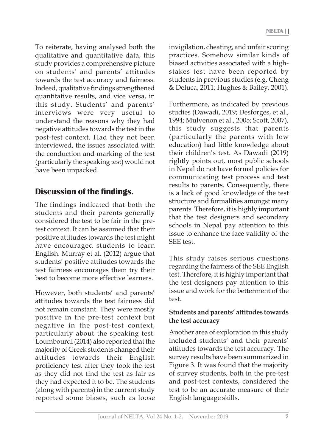To reiterate, having analysed both the qualitative and quantitative data, this study provides a comprehensive picture on students' and parents' attitudes towards the test accuracy and fairness. Indeed, qualitative findings strengthened quantitative results, and vice versa, in this study. Students' and parents' interviews were very useful to understand the reasons why they had negative attitudes towards the test in the post-test context. Had they not been interviewed, the issues associated with the conduction and marking of the test (particularly the speaking test) would not have been unpacked.

# **Discussion of the findings.**

The findings indicated that both the students and their parents generally considered the test to be fair in the pretest context. It can be assumed that their positive attitudes towards the test might have encouraged students to learn English. Murray et al. (2012) argue that students' positive attitudes towards the test fairness encourages them try their best to become more effective learners.

However, both students' and parents' attitudes towards the test fairness did not remain constant. They were mostly positive in the pre-test context but negative in the post-test context, particularly about the speaking test. Loumbourdi (2014) also reported that the majority of Greek students changed their attitudes towards their English proficiency test after they took the test as they did not find the test as fair as they had expected it to be. The students (along with parents) in the current study reported some biases, such as loose

invigilation, cheating, and unfair scoring practices. Somehow similar kinds of biased activities associated with a highstakes test have been reported by students in previous studies (e.g. Cheng & Deluca, 2011; Hughes & Bailey, 2001).

Furthermore, as indicated by previous studies (Dawadi, 2019; Desforges, et al., 1994; Mulvenon et al., 2005; Scott, 2007), this study suggests that parents (particularly the parents with low education) had little knowledge about their children's test. As Dawadi (2019) rightly points out, most public schools in Nepal do not have formal policies for communicating test process and test results to parents. Consequently, there is a lack of good knowledge of the test structure and formalities amongst many parents. Therefore, it is highly important that the test designers and secondary schools in Nepal pay attention to this issue to enhance the face validity of the SEE test.

This study raises serious questions regarding the fairness of the SEE English test. Therefore, it is highly important that the test designers pay attention to this issue and work for the betterment of the test.

#### **Students and parents' attitudes towards the test accuracy**

Another area of exploration in this study included students' and their parents' attitudes towards the test accuracy. The survey results have been summarized in Figure 3. It was found that the majority of survey students, both in the pre-test and post-test contexts, considered the test to be an accurate measure of their English language skills.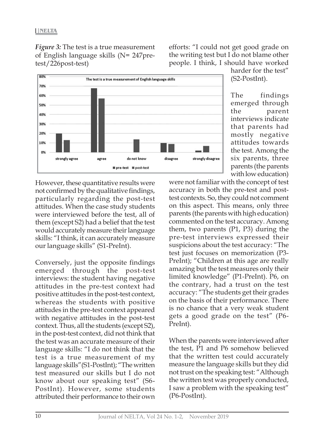*Figure 3:* The test is a true measurement of English language skills (N= 247pretest/226post-test)

efforts: "I could not get good grade on the writing test but I do not blame other people. I think, I should have worked



harder for the test" (S2-PostInt).

The findings emerged through the parent interviews indicate that parents had mostly negative attitudes towards the test. Among the six parents, three parents (the parents with low education)

However, these quantitative results were not confirmed by the qualitative findings, particularly regarding the post-test attitudes. When the case study students were interviewed before the test, all of them (except S2) had a belief that the test would accurately measure their language skills: "I think, it can accurately measure our language skills" (S1-PreInt).

Conversely, just the opposite findings emerged through the post-test interviews: the student having negative attitudes in the pre-test context had positive attitudes in the post-test context, whereas the students with positive attitudes in the pre-test context appeared with negative attitudes in the post-test context. Thus, all the students (except S2), in the post-test context, did not think that the test was an accurate measure of their language skills: "I do not think that the test is a true measurement of my language skills"(S1-PostInt); "The written test measured our skills but I do not know about our speaking test" (S6- PostInt). However, some students attributed their performance to their own were not familiar with the concept of test accuracy in both the pre-test and posttest contexts. So, they could not comment on this aspect. This means, only three parents (the parents with high education) commented on the test accuracy. Among them, two parents (P1, P3) during the pre-test interviews expressed their suspicions about the test accuracy: "The test just focuses on memorization (P3- PreInt); "Children at this age are really amazing but the test measures only their limited knowledge" (P1-PreInt). P6, on the contrary, had a trust on the test accuracy: "The students get their grades on the basis of their performance. There is no chance that a very weak student gets a good grade on the test" (P6- PreInt).

When the parents were interviewed after the test, P1 and P6 somehow believed that the written test could accurately measure the language skills but they did not trust on the speaking test: "Although the written test was properly conducted, I saw a problem with the speaking test" (P6-PostInt).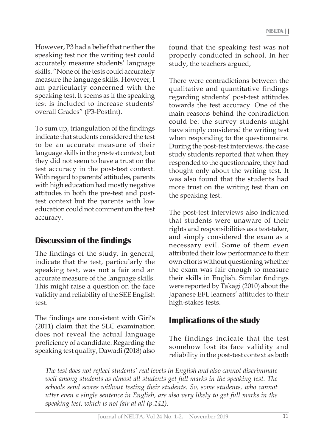However, P3 had a belief that neither the speaking test nor the writing test could accurately measure students' language skills. "None of the tests could accurately measure the language skills. However, I am particularly concerned with the speaking test. It seems as if the speaking test is included to increase students' overall Grades" (P3-PostInt).

To sum up, triangulation of the findings indicate that students considered the test to be an accurate measure of their language skills in the pre-test context, but they did not seem to have a trust on the test accuracy in the post-test context. With regard to parents' attitudes, parents with high education had mostly negative attitudes in both the pre-test and posttest context but the parents with low education could not comment on the test accuracy.

### **Discussion of the findings**

The findings of the study, in general, indicate that the test, particularly the speaking test, was not a fair and an accurate measure of the language skills. This might raise a question on the face validity and reliability of the SEE English test.

The findings are consistent with Giri's (2011) claim that the SLC examination does not reveal the actual language proficiency of a candidate. Regarding the speaking test quality, Dawadi (2018) also

found that the speaking test was not properly conducted in school. In her study, the teachers argued,

There were contradictions between the qualitative and quantitative findings regarding students' post-test attitudes towards the test accuracy. One of the main reasons behind the contradiction could be: the survey students might have simply considered the writing test when responding to the questionnaire. During the post-test interviews, the case study students reported that when they responded to the questionnaire, they had thought only about the writing test. It was also found that the students had more trust on the writing test than on the speaking test.

The post-test interviews also indicated that students were unaware of their rights and responsibilities as a test-taker, and simply considered the exam as a necessary evil. Some of them even attributed their low performance to their own efforts without questioning whether the exam was fair enough to measure their skills in English. Similar findings were reported by Takagi (2010) about the Japanese EFL learners' attitudes to their high-stakes tests.

### **Implications of the study**

The findings indicate that the test somehow lost its face validity and reliability in the post-test context as both

*The test does not reflect students' real levels in English and also cannot discriminate well among students as almost all students get full marks in the speaking test. The schools send scores without testing their students. So, some students, who cannot utter even a single sentence in English, are also very likely to get full marks in the speaking test, which is not fair at all (p.142).*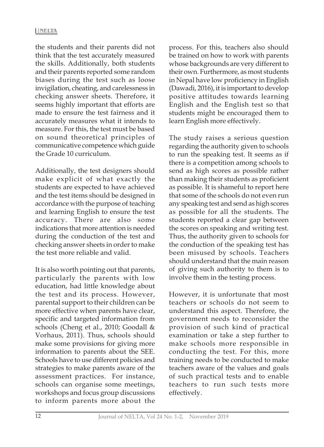the students and their parents did not think that the test accurately measured the skills. Additionally, both students and their parents reported some random biases during the test such as loose invigilation, cheating, and carelessness in checking answer sheets. Therefore, it seems highly important that efforts are made to ensure the test fairness and it accurately measures what it intends to measure. For this, the test must be based on sound theoretical principles of communicative competence which guide the Grade 10 curriculum.

Additionally, the test designers should make explicit of what exactly the students are expected to have achieved and the test items should be designed in accordance with the purpose of teaching and learning English to ensure the test accuracy. There are also some indications that more attention is needed during the conduction of the test and checking answer sheets in order to make the test more reliable and valid.

It is also worth pointing out that parents, particularly the parents with low education, had little knowledge about the test and its process. However, parental support to their children can be more effective when parents have clear, specific and targeted information from schools (Cheng et al., 2010; Goodall & Vorhaus, 2011). Thus, schools should make some provisions for giving more information to parents about the SEE. Schools have to use different policies and strategies to make parents aware of the assessment practices. For instance, schools can organise some meetings, workshops and focus group discussions to inform parents more about the

process. For this, teachers also should be trained on how to work with parents whose backgrounds are very different to their own. Furthermore, as most students in Nepal have low proficiency in English (Dawadi, 2016), it is important to develop positive attitudes towards learning English and the English test so that students might be encouraged them to learn English more effectively.

The study raises a serious question regarding the authority given to schools to run the speaking test. It seems as if there is a competition among schools to send as high scores as possible rather than making their students as proficient as possible. It is shameful to report here that some of the schools do not even run any speaking test and send as high scores as possible for all the students. The students reported a clear gap between the scores on speaking and writing test. Thus, the authority given to schools for the conduction of the speaking test has been misused by schools. Teachers should understand that the main reason of giving such authority to them is to involve them in the testing process.

However, it is unfortunate that most teachers or schools do not seem to understand this aspect. Therefore, the government needs to reconsider the provision of such kind of practical examination or take a step further to make schools more responsible in conducting the test. For this, more training needs to be conducted to make teachers aware of the values and goals of such practical tests and to enable teachers to run such tests more effectively.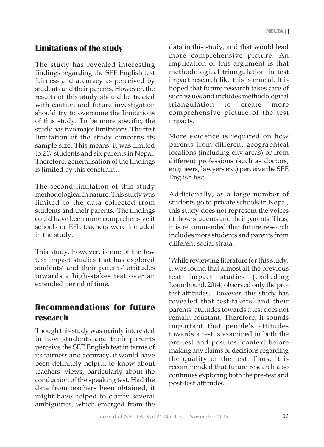# **Limitations of the study**

The study has revealed interesting findings regarding the SEE English test fairness and accuracy as perceived by students and their parents. However, the results of this study should be treated with caution and future investigation should try to overcome the limitations of this study. To be more specific, the study has two major limitations. The first limitation of the study concerns its sample size. This means, it was limited to 247 students and six parents in Nepal. Therefore, generalisation of the findings is limited by this constraint.

The second limitation of this study methodological in nature. This study was limited to the data collected from students and their parents. The findings could have been more comprehensive if schools or EFL teachers were included in the study.

This study, however, is one of the few test impact studies that has explored students' and their parents' attitudes towards a high-stakes test over an extended period of time.

## **Recommendations for future research**

Though this study was mainly interested in how students and their parents perceive the SEE English test in terms of its fairness and accuracy, it would have been definitely helpful to know about teachers' views, particularly about the conduction of the speaking test. Had the data from teachers been obtained, it might have helped to clarify several ambiguities, which emerged from the

data in this study, and that would lead more comprehensive picture. An implication of this argument is that methodological triangulation in test impact research like this is crucial. It is hoped that future research takes care of such issues and includes methodological triangulation to create more comprehensive picture of the test impacts.

More evidence is required on how parents from different geographical locations (including city areas) or from different professions (such as doctors, engineers, lawyers etc.) perceive the SEE English test.

Additionally, as a large number of students go to private schools in Nepal, this study does not represent the voices of those students and their parents. Thus, it is recommended that future research includes more students and parents from different social strata.

'While reviewing literature for this study, it was found that almost all the previous test impact studies (excluding Loumbourd, 2014) observed only the pretest attitudes. However, this study has revealed that test-takers' and their parents' attitudes towards a test does not remain constant. Therefore, it sounds important that people's attitudes towards a test is examined in both the pre-test and post-test context before making any claims or decisions regarding the quality of the test. Thus, it is recommended that future research also continues exploring both the pre-test and post-test attitudes.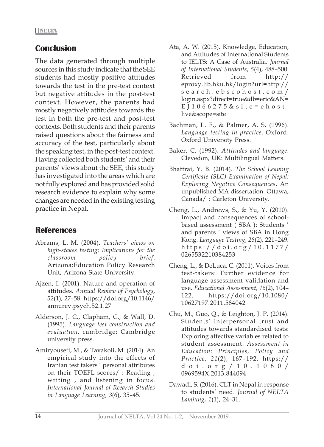### **Conclusion**

The data generated through multiple sources in this study indicate that the SEE students had mostly positive attitudes towards the test in the pre-test context but negative attitudes in the post-test context. However, the parents had mostly negatively attitudes towards the test in both the pre-test and post-test contexts. Both students and their parents raised questions about the fairness and accuracy of the test, particularly about the speaking test, in the post-test context. Having collected both students' and their parents' views about the SEE, this study has investigated into the areas which are not fully explored and has provided solid research evidence to explain why some changes are needed in the existing testing practice in Nepal.

### **References**

- Abrams, L. M. (2004). *Teachers' views on high-stakes testing: Implications for the classroom policy brief*. Arizona:Education Policy Research Unit, Arizona State University.
- Ajzen, I. (2001). Nature and operation of attitudes. *Annual Review of Psychology*, *52*(1), 27–58. https://doi.org/10.1146/ annurev.psych.52.1.27
- Alderson, J. C., Clapham, C., & Wall, D. (1995). *Language test construction and evaluation.* cambridge: Cambridge university press.
- Amiryousefi, M., & Tavakoli, M. (2014). An empirical study into the effects of Iranian test takers ' personal attributes on their TOEFL scores/ : Reading , writing , and listening in focus. *International Journal of Reearch Studies in Language Learning*, *3*(6), 35–45.
- Ata, A. W. (2015). Knowledge, Education, and Attitudes of International Students to IELTS: A Case of Australia. *Journal of International Students*, *5*(4), 488–500. Retrieved from http:// eproxy.lib.hku.hk/login?url=http:// search.ebscohost.com/ login.aspx?direct=true&db=eric&AN= EJ1066275&site=ehostlive&scope=site
- Bachman, L. F., & Palmer, A. S. (1996). *Language testing in practice*. Oxford: Oxford University Press.
- Baker, C. (1992). *Attitudes and language*. Clevedon, UK: Multilingual Matters.
- Bhattrai, Y. B. (2014). *The School Leaving Certificate (SLC) Examination of Nepal: Exploring Negative Consequences*. An unpublished MA dissertation. Ottawa, Canada/ : Carleton University.
- Cheng, L., Andrews, S., & Yu, Y. (2010). Impact and consequences of schoolbased assessment ( SBA ): Students ' and parents ' views of SBA in Hong Kong. *Language Testing*, *28*(2), 221–249. https://doi.org/10.1177/ 0265532210384253
- Cheng, L., & DeLuca, C. (2011). Voices from test-takers: Further evidence for language assessment validation and use. *Educational Assessment*, *16*(2), 104– 122. https://doi.org/10.1080/ 10627197.2011.584042
- Chu, M., Guo, Q., & Leighton, J. P. (2014). Students' interpersonal trust and attitudes towards standardised tests: Exploring affective variables related to student assessment. *Assessment in Education: Principles, Policy and Practice*, *21*(2), 167–192. https:// doi.org/10.1080/ 0969594X.2013.844094
- Dawadi, S. (2016). CLT in Nepal in response to students' need. *Journal of NELTA Lamjung*, *1*(1), 24–31.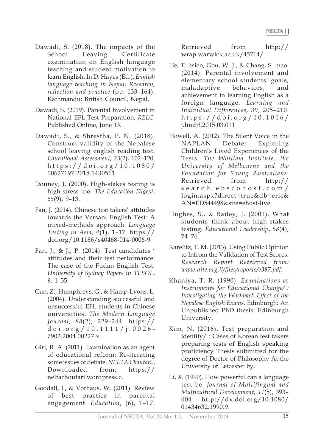- Dawadi, S. (2018). The impacts of the School Leaving Certificate examination on English language teaching and student motivation to learn English. In D. Hayes (Ed.), *English language teaching in Nepal: Research, reflection and practice* (pp. 133–164). Kathmandu: British Council, Nepal.
- Dawadi, S. (2019). Parental Involvement in National EFL Test Preparation. *RELC.* Published Online, June 13.
- Dawadi, S., & Shrestha, P. N. (2018). Construct validity of the Nepalese school leaving english reading test. *Educational Assessment*, *23*(2), 102–120. https://doi.org/10.1080/ 10627197.2018.1430511
- Douney, J. (2000). High-stakes testing is high-stress too. *The Education Digest*, *65*(9), 9–13.
- Fan, J. (2014). Chinese test takers' attitudes towards the Versant English Test: A mixed-methods approach. *Language Testing in Asia*, *4*(1), 1–17. https:// doi.org/10.1186/s40468-014-0006-9
- Fan, J., & Ji, P. (2014). Test candidates ' attitudes and their test performance: The case of the Fudan English Test. *University of Sydney Papers in TESOL*, *9*, 1–35.
- Gan, Z., Humphreys, G., & Hamp-Lyons, L. (2004). Understanding successful and unsuccessful EFL students in Chinese universities. *The Modern Language Journal*, *88*(2), 229–244. https:// doi.org/10.1111/j.0026- 7902.2004.00227.x
- Giri, R. A. (2011). Examination as an agent of educational reform: Re-iterating some issues of debate. *NELTA Chautari.*, Downloaded from: https:// neltachoutari.wordpress.c.
- Goodall, J., & Vorhaus, W. (2011). Review of best practice in parental engagement. *Education*, (6), 1–17.

Retrieved from http:// wrap.warwick.ac.uk/45714/

- He, T. hsien, Gou, W. J., & Chang, S. mao. (2014). Parental involvement and elementary school students' goals, maladaptive behaviors, and achievement in learning English as a foreign language. *Learning and Individual Differences*, *39*, 205–210. https://doi.org/10.1016/ j.lindif.2015.03.011
- Howell, A. (2012). The Silent Voice in the NAPLAN Debate: Exploring Children's Lived Experiences of the Tests. *The Whitlam Institute, the University of Melbourne and the Foundation for Young Australians*. Retrieved from http:// search.ebscohost.com/ login.aspx?direct=true&db=eric& AN=ED544498&site=ehost-live
- Hughes, S., & Bailey, J. (2001). What students think about high-stakes testing. *Educational Leadership*, *58*(4), 74–76.
- Karelitz, T. M. (2013). Using Public Opinion to Infrom the Validation of Test Scores. *Research Report Retrieved from: www.nite.org.il/files/reports/e387.pdf.*
- Khaniya, T. R. (1990). *Examinations as Instruments for Educational Change/ : Investigating the Washback Effect of the Nepalese English Exams*. Edinburgh: An Unpublished PhD thesis: Edinburgh University.
- Kim, N. (2016). Test preparation and identity/ : Cases of Korean test takers preparing tests of English speaking proficiency Thesis submitted for the degree of Doctor of Philosophy At the University of Leicester by.
- Li, X. (1990). How powerful can a language test be. *Journal of Multifingual and Multicultural Development*, *11*(5), 393– 404 http://dx.doi.org/10.1080/ 01434632.1990.9.